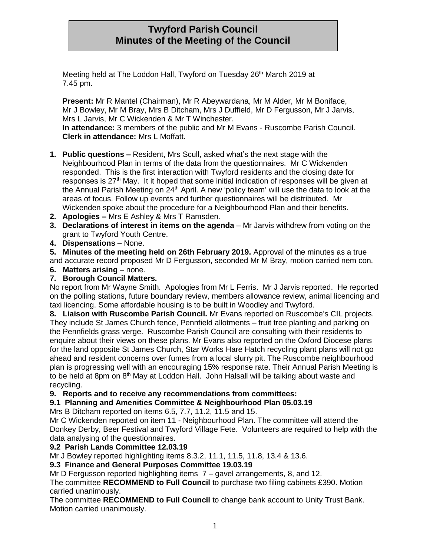# **Twyford Parish Council Minutes of the Meeting of the Council**

Meeting held at The Loddon Hall, Twyford on Tuesday 26<sup>th</sup> March 2019 at 7.45 pm.

**Present:** Mr R Mantel (Chairman), Mr R Abeywardana, Mr M Alder, Mr M Boniface, Mr J Bowley, Mr M Bray, Mrs B Ditcham, Mrs J Duffield, Mr D Fergusson, Mr J Jarvis, Mrs L Jarvis, Mr C Wickenden & Mr T Winchester.

**In attendance:** 3 members of the public and Mr M Evans - Ruscombe Parish Council. **Clerk in attendance:** Mrs L Moffatt.

- **1. Public questions –** Resident, Mrs Scull, asked what's the next stage with the Neighbourhood Plan in terms of the data from the questionnaires. Mr C Wickenden responded. This is the first interaction with Twyford residents and the closing date for responses is 27<sup>th</sup> May. It it hoped that some initial indication of responses will be given at the Annual Parish Meeting on 24<sup>th</sup> April. A new 'policy team' will use the data to look at the areas of focus. Follow up events and further questionnaires will be distributed. Mr Wickenden spoke about the procedure for a Neighbourhood Plan and their benefits.
- **2. Apologies –** Mrs E Ashley & Mrs T Ramsden.
- **3. Declarations of interest in items on the agenda** Mr Jarvis withdrew from voting on the grant to Twyford Youth Centre.
- **4. Dispensations** None.

**5. Minutes of the meeting held on 26th February 2019.** Approval of the minutes as a true and accurate record proposed Mr D Fergusson, seconded Mr M Bray, motion carried nem con.

**6. Matters arising** – none.

# **7. Borough Council Matters.**

No report from Mr Wayne Smith. Apologies from Mr L Ferris. Mr J Jarvis reported. He reported on the polling stations, future boundary review, members allowance review, animal licencing and taxi licencing. Some affordable housing is to be built in Woodley and Twyford.

**8. Liaison with Ruscombe Parish Council.** Mr Evans reported on Ruscombe's CIL projects. They include St James Church fence, Pennfield allotments – fruit tree planting and parking on the Pennfields grass verge. Ruscombe Parish Council are consulting with their residents to enquire about their views on these plans. Mr Evans also reported on the Oxford Diocese plans for the land opposite St James Church, Star Works Hare Hatch recycling plant plans will not go ahead and resident concerns over fumes from a local slurry pit. The Ruscombe neighbourhood plan is progressing well with an encouraging 15% response rate. Their Annual Parish Meeting is to be held at 8pm on 8<sup>th</sup> May at Loddon Hall. John Halsall will be talking about waste and recycling.

## **9. Reports and to receive any recommendations from committees:**

# **9.1 Planning and Amenities Committee & Neighbourhood Plan 05.03.19**

Mrs B Ditcham reported on items 6.5, 7.7, 11.2, 11.5 and 15.

Mr C Wickenden reported on item 11 - Neighbourhood Plan. The committee will attend the Donkey Derby, Beer Festival and Twyford Village Fete. Volunteers are required to help with the data analysing of the questionnaires.

# **9.2 Parish Lands Committee 12.03.19**

Mr J Bowley reported highlighting items 8.3.2, 11.1, 11.5, 11.8, 13.4 & 13.6.

## **9.3 Finance and General Purposes Committee 19.03.19**

Mr D Fergusson reported highlighting items 7 – gavel arrangements, 8, and 12.

The committee **RECOMMEND to Full Council** to purchase two filing cabinets £390. Motion carried unanimously.

The committee **RECOMMEND to Full Council** to change bank account to Unity Trust Bank. Motion carried unanimously.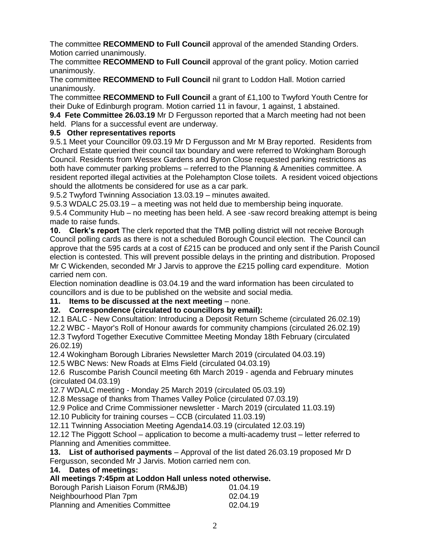The committee **RECOMMEND to Full Council** approval of the amended Standing Orders. Motion carried unanimously.

The committee **RECOMMEND to Full Council** approval of the grant policy. Motion carried unanimously.

The committee **RECOMMEND to Full Council** nil grant to Loddon Hall. Motion carried unanimously.

The committee **RECOMMEND to Full Council** a grant of £1,100 to Twyford Youth Centre for their Duke of Edinburgh program. Motion carried 11 in favour, 1 against, 1 abstained.

**9.4 Fete Committee 26.03.19** Mr D Fergusson reported that a March meeting had not been held. Plans for a successful event are underway.

# **9.5 Other representatives reports**

9.5.1 Meet your Councillor 09.03.19 Mr D Fergusson and Mr M Bray reported. Residents from Orchard Estate queried their council tax boundary and were referred to Wokingham Borough Council. Residents from Wessex Gardens and Byron Close requested parking restrictions as both have commuter parking problems – referred to the Planning & Amenities committee. A resident reported illegal activities at the Polehampton Close toilets. A resident voiced objections should the allotments be considered for use as a car park.

9.5.2 Twyford Twinning Association 13.03.19 – minutes awaited.

9.5.3 WDALC 25.03.19 – a meeting was not held due to membership being inquorate.

9.5.4 Community Hub – no meeting has been held. A see -saw record breaking attempt is being made to raise funds.

**10. Clerk's report** The clerk reported that the TMB polling district will not receive Borough Council polling cards as there is not a scheduled Borough Council election. The Council can approve that the 595 cards at a cost of £215 can be produced and only sent if the Parish Council election is contested. This will prevent possible delays in the printing and distribution. Proposed Mr C Wickenden, seconded Mr J Jarvis to approve the £215 polling card expenditure. Motion carried nem con.

Election nomination deadline is 03.04.19 and the ward information has been circulated to councillors and is due to be published on the website and social media.

# **11.** Items to be discussed at the next meeting – none.

**12. Correspondence (circulated to councillors by email):**

12.1 BALC - New Consultation: Introducing a Deposit Return Scheme (circulated 26.02.19)

12.2 WBC - Mayor's Roll of Honour awards for community champions (circulated 26.02.19) 12.3 Twyford Together Executive Committee Meeting Monday 18th February (circulated

26.02.19)

12.4 Wokingham Borough Libraries Newsletter March 2019 (circulated 04.03.19)

12.5 WBC News: New Roads at Elms Field (circulated 04.03.19)

12.6 Ruscombe Parish Council meeting 6th March 2019 - agenda and February minutes (circulated 04.03.19)

12.7 WDALC meeting - Monday 25 March 2019 (circulated 05.03.19)

12.8 Message of thanks from Thames Valley Police (circulated 07.03.19)

12.9 Police and Crime Commissioner newsletter - March 2019 (circulated 11.03.19)

12.10 Publicity for training courses – CCB (circulated 11.03.19)

12.11 Twinning Association Meeting Agenda14.03.19 (circulated 12.03.19)

12.12 The Piggott School – application to become a multi-academy trust – letter referred to Planning and Amenities committee.

**13. List of authorised payments** – Approval of the list dated 26.03.19 proposed Mr D Fergusson, seconded Mr J Jarvis. Motion carried nem con.

**14. Dates of meetings:**

**All meetings 7:45pm at Loddon Hall unless noted otherwise.**

| Borough Parish Liaison Forum (RM&JB)    | 01.04.19 |
|-----------------------------------------|----------|
| Neighbourhood Plan 7pm                  | 02.04.19 |
| <b>Planning and Amenities Committee</b> | 02.04.19 |